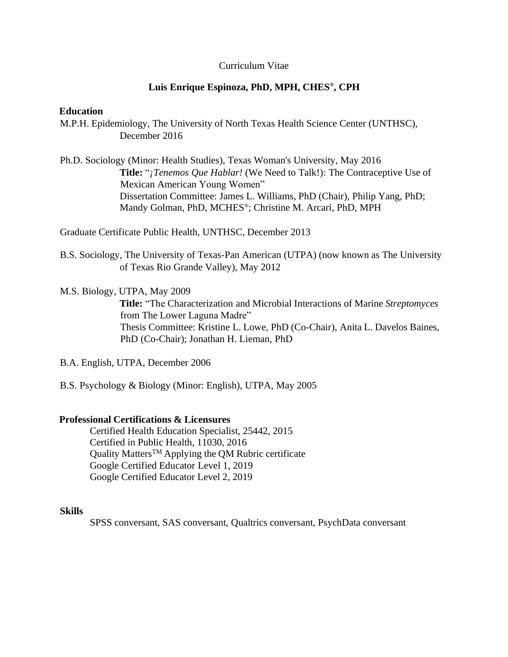## Curriculum Vitae

## **Luis Enrique Espinoza, PhD, MPH, CHES® , CPH**

#### **Education**

M.P.H. Epidemiology, The University of North Texas Health Science Center (UNTHSC), December 2016

Ph.D. Sociology (Minor: Health Studies), Texas Woman's University, May 2016 **Title:** "*¡Tenemos Que Hablar!* (We Need to Talk!): The Contraceptive Use of Mexican American Young Women" Dissertation Committee: James L. Williams, PhD (Chair), Philip Yang, PhD; Mandy Golman, PhD, MCHES® ; Christine M. Arcari, PhD, MPH

Graduate Certificate Public Health, UNTHSC, December 2013

- B.S. Sociology, The University of Texas-Pan American (UTPA) (now known as The University of Texas Rio Grande Valley), May 2012
- M.S. Biology, UTPA, May 2009

**Title:** "The Characterization and Microbial Interactions of Marine *Streptomyces* from The Lower Laguna Madre" Thesis Committee: Kristine L. Lowe, PhD (Co-Chair), Anita L. Davelos Baines, PhD (Co-Chair); Jonathan H. Lieman, PhD

- B.A. English, UTPA, December 2006
- B.S. Psychology & Biology (Minor: English), UTPA, May 2005

#### **Professional Certifications & Licensures**

Certified Health Education Specialist, 25442, 2015 Certified in Public Health, 11030, 2016 Quality Matters<sup>TM</sup> Applying the QM Rubric certificate Google Certified Educator Level 1, 2019 Google Certified Educator Level 2, 2019

#### **Skills**

SPSS conversant, SAS conversant, Qualtrics conversant, PsychData conversant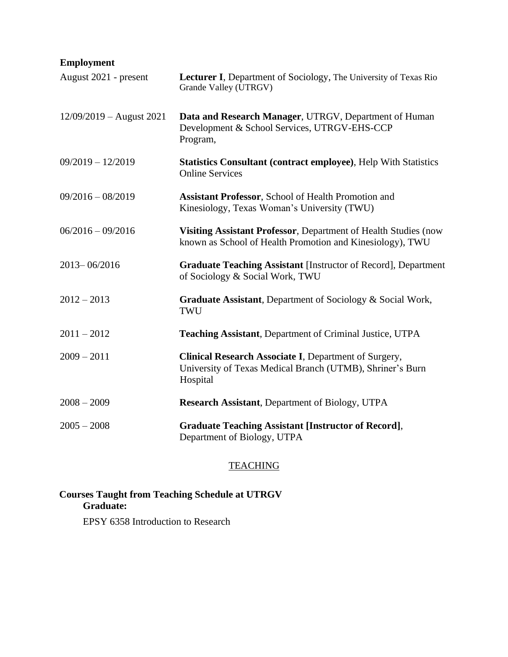# **Employment**

| August 2021 - present      | Lecturer I, Department of Sociology, The University of Texas Rio<br>Grande Valley (UTRGV)                                      |
|----------------------------|--------------------------------------------------------------------------------------------------------------------------------|
| $12/09/2019$ – August 2021 | Data and Research Manager, UTRGV, Department of Human<br>Development & School Services, UTRGV-EHS-CCP<br>Program,              |
| $09/2019 - 12/2019$        | <b>Statistics Consultant (contract employee), Help With Statistics</b><br><b>Online Services</b>                               |
| $09/2016 - 08/2019$        | <b>Assistant Professor, School of Health Promotion and</b><br>Kinesiology, Texas Woman's University (TWU)                      |
| $06/2016 - 09/2016$        | Visiting Assistant Professor, Department of Health Studies (now<br>known as School of Health Promotion and Kinesiology), TWU   |
| 2013-06/2016               | <b>Graduate Teaching Assistant [Instructor of Record], Department</b><br>of Sociology & Social Work, TWU                       |
| $2012 - 2013$              | <b>Graduate Assistant, Department of Sociology &amp; Social Work,</b><br>TWU                                                   |
| $2011 - 2012$              | Teaching Assistant, Department of Criminal Justice, UTPA                                                                       |
| $2009 - 2011$              | Clinical Research Associate I, Department of Surgery,<br>University of Texas Medical Branch (UTMB), Shriner's Burn<br>Hospital |
| $2008 - 2009$              | <b>Research Assistant, Department of Biology, UTPA</b>                                                                         |
| $2005 - 2008$              | <b>Graduate Teaching Assistant [Instructor of Record],</b><br>Department of Biology, UTPA                                      |

## **TEACHING**

## **Courses Taught from Teaching Schedule at UTRGV Graduate:**

EPSY 6358 Introduction to Research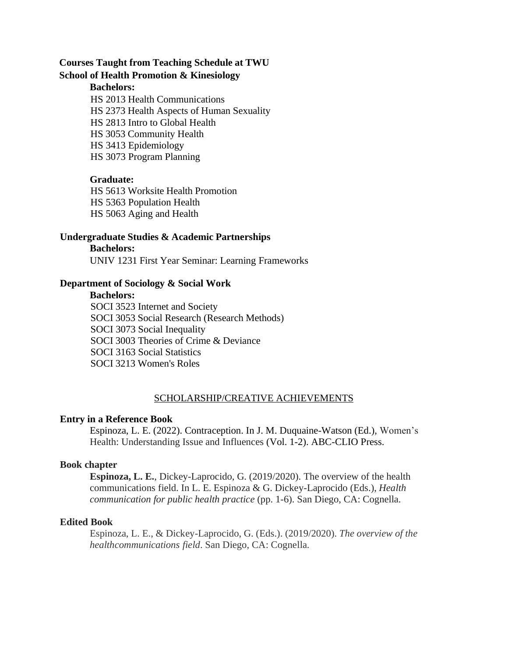## **Courses Taught from Teaching Schedule at TWU School of Health Promotion & Kinesiology**

## **Bachelors:**

HS 2013 Health Communications HS 2373 Health Aspects of Human Sexuality HS 2813 Intro to Global Health HS 3053 Community Health HS 3413 Epidemiology HS 3073 Program Planning

## **Graduate:**

HS 5613 Worksite Health Promotion HS 5363 Population Health HS 5063 Aging and Health

## **Undergraduate Studies & Academic Partnerships**

#### **Bachelors:**

UNIV 1231 First Year Seminar: Learning Frameworks

## **Department of Sociology & Social Work**

#### **Bachelors:**

SOCI 3523 Internet and Society SOCI 3053 Social Research (Research Methods) SOCI 3073 Social Inequality SOCI 3003 Theories of Crime & Deviance SOCI 3163 Social Statistics SOCI 3213 Women's Roles

## SCHOLARSHIP/CREATIVE ACHIEVEMENTS

## **Entry in a Reference Book**

Espinoza, L. E. (2022). Contraception. In J. M. Duquaine-Watson (Ed.), Women's Health: Understanding Issue and Influences (Vol. 1-2). ABC-CLIO Press.

## **Book chapter**

**Espinoza, L. E.**, Dickey-Laprocido, G. (2019/2020). The overview of the health communications field. In L. E. Espinoza & G. Dickey-Laprocido (Eds.), *Health communication for public health practice* (pp. 1-6). San Diego, CA: Cognella.

## **Edited Book**

Espinoza, L. E., & Dickey-Laprocido, G. (Eds.). (2019/2020). *The overview of the healthcommunications field*. San Diego, CA: Cognella.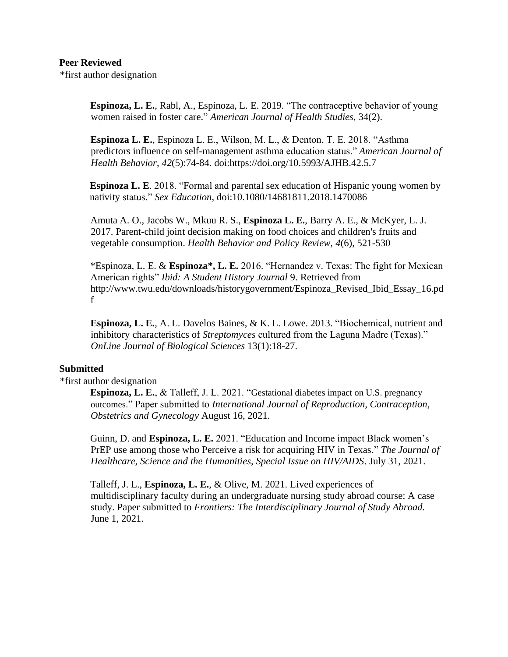## **Peer Reviewed**

\*first author designation

**Espinoza, L. E.**, Rabl, A., Espinoza, L. E. 2019. "The contraceptive behavior of young women raised in foster care." *American Journal of Health Studies*, 34(2).

**Espinoza L. E.**, Espinoza L. E., Wilson, M. L., & Denton, T. E. 2018. "Asthma predictors influence on self-management asthma education status." *American Journal of Health Behavior*, *42*(5):74-84. doi:https://doi.org/10.5993/AJHB.42.5.7

**Espinoza L. E**. 2018. "Formal and parental sex education of Hispanic young women by nativity status." *Sex Education*, doi:10.1080/14681811.2018.1470086

Amuta A. O., Jacobs W., Mkuu R. S., **Espinoza L. E.**, Barry A. E., & McKyer, L. J. 2017. Parent-child joint decision making on food choices and children's fruits and vegetable consumption. *Health Behavior and Policy Review, 4*(6), 521-530

\*Espinoza, L. E. & **Espinoza\*, L. E.** 2016. "Hernandez v. Texas: The fight for Mexican American rights" *Ibid: A Student History Journal* 9. Retrieved from [http://www.twu.edu/downloads/historygovernment/Espinoza\\_Revised\\_Ibid\\_Essay\\_16.pd](http://www.twu.edu/downloads/historygovernment/Espinoza_Revised_Ibid_Essay_16.pd) f

**Espinoza, L. E.**, A. L. Davelos Baines, & K. L. Lowe. 2013. "Biochemical, nutrient and inhibitory characteristics of *Streptomyces* cultured from the Laguna Madre (Texas)." *OnLine Journal of Biological Sciences* 13(1):18-27.

## **Submitted**

\*first author designation

**Espinoza, L. E.**, & Talleff, J. L. 2021. "Gestational diabetes impact on U.S. pregnancy outcomes." Paper submitted to *International Journal of Reproduction, Contraception, Obstetrics and Gynecology* August 16, 2021.

Guinn, D. and **Espinoza, L. E.** 2021. "Education and Income impact Black women's PrEP use among those who Perceive a risk for acquiring HIV in Texas." *The Journal of Healthcare, Science and the Humanities, Special Issue on HIV/AIDS*. July 31, 2021.

Talleff, J. L., **Espinoza, L. E.**, & Olive, M. 2021. Lived experiences of multidisciplinary faculty during an undergraduate nursing study abroad course: A case study. Paper submitted to *Frontiers: The Interdisciplinary Journal of Study Abroad.*  June 1, 2021.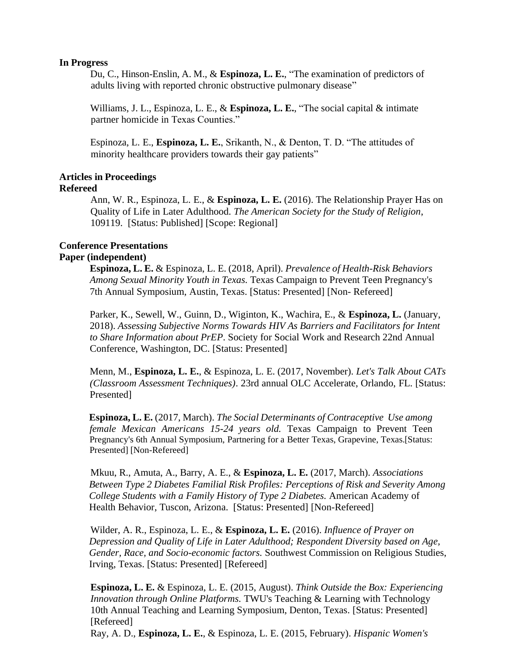#### **In Progress**

Du, C., Hinson-Enslin, A. M., & **Espinoza, L. E.**, "The examination of predictors of adults living with reported chronic obstructive pulmonary disease"

Williams, J. L., Espinoza, L. E., & **Espinoza, L. E.**, "The social capital & intimate partner homicide in Texas Counties."

Espinoza, L. E., **Espinoza, L. E.**, Srikanth, N., & Denton, T. D. "The attitudes of minority healthcare providers towards their gay patients"

#### **Articles in Proceedings Refereed**

Ann, W. R., Espinoza, L. E., & **Espinoza, L. E.** (2016). The Relationship Prayer Has on Quality of Life in Later Adulthood. *The American Society for the Study of Religion*, 109119. [Status: Published] [Scope: Regional]

# **Conference Presentations**

## **Paper (independent)**

**Espinoza, L. E.** & Espinoza, L. E. (2018, April). *Prevalence of Health-Risk Behaviors Among Sexual Minority Youth in Texas.* Texas Campaign to Prevent Teen Pregnancy's 7th Annual Symposium, Austin, Texas. [Status: Presented] [Non- Refereed]

Parker, K., Sewell, W., Guinn, D., Wiginton, K., Wachira, E., & **Espinoza, L.** (January, 2018). *Assessing Subjective Norms Towards HIV As Barriers and Facilitators for Intent to Share Information about PrEP*. Society for Social Work and Research 22nd Annual Conference, Washington, DC. [Status: Presented]

Menn, M., **Espinoza, L. E.**, & Espinoza, L. E. (2017, November). *Let's Talk About CATs (Classroom Assessment Techniques)*. 23rd annual OLC Accelerate, Orlando, FL. [Status: Presented]

**Espinoza, L. E.** (2017, March). *The Social Determinants of Contraceptive Use among female Mexican Americans 15-24 years old.* Texas Campaign to Prevent Teen Pregnancy's 6th Annual Symposium, Partnering for a Better Texas, Grapevine, Texas.[Status: Presented] [Non-Refereed]

Mkuu, R., Amuta, A., Barry, A. E., & **Espinoza, L. E.** (2017, March). *Associations Between Type 2 Diabetes Familial Risk Profiles: Perceptions of Risk and Severity Among College Students with a Family History of Type 2 Diabetes.* American Academy of Health Behavior, Tuscon, Arizona. [Status: Presented] [Non-Refereed]

Wilder, A. R., Espinoza, L. E., & **Espinoza, L. E.** (2016). *Influence of Prayer on Depression and Quality of Life in Later Adulthood; Respondent Diversity based on Age, Gender, Race, and Socio-economic factors.* Southwest Commission on Religious Studies, Irving, Texas. [Status: Presented] [Refereed]

**Espinoza, L. E.** & Espinoza, L. E. (2015, August). *Think Outside the Box: Experiencing Innovation through Online Platforms.* TWU's Teaching & Learning with Technology 10th Annual Teaching and Learning Symposium, Denton, Texas. [Status: Presented] [Refereed]

Ray, A. D., **Espinoza, L. E.**, & Espinoza, L. E. (2015, February). *Hispanic Women's*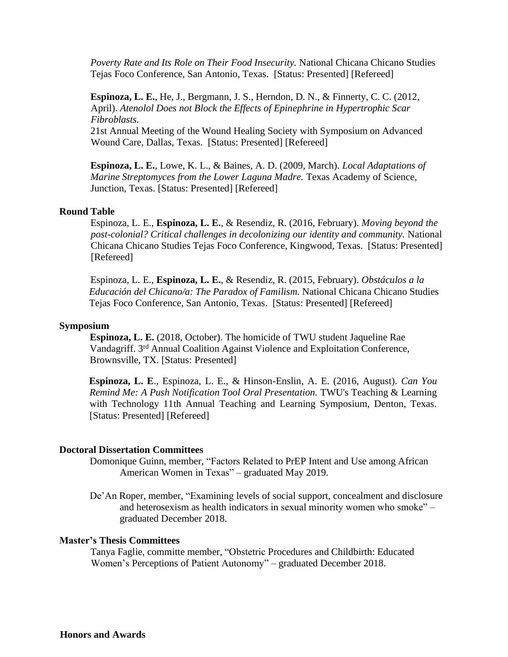*Poverty Rate and Its Role on Their Food Insecurity.* National Chicana Chicano Studies Tejas Foco Conference, San Antonio, Texas. [Status: Presented] [Refereed]

**Espinoza, L. E.**, He, J., Bergmann, J. S., Herndon, D. N., & Finnerty, C. C. (2012, April). *Atenolol Does not Block the Effects of Epinephrine in Hypertrophic Scar Fibroblasts.*

21st Annual Meeting of the Wound Healing Society with Symposium on Advanced Wound Care, Dallas, Texas. [Status: Presented] [Refereed]

**Espinoza, L. E.**, Lowe, K. L., & Baines, A. D. (2009, March). *Local Adaptations of Marine Streptomyces from the Lower Laguna Madre.* Texas Academy of Science, Junction, Texas. [Status: Presented] [Refereed]

#### **Round Table**

Espinoza, L. E., **Espinoza, L. E.**, & Resendiz, R. (2016, February). *Moving beyond the post-colonial? Critical challenges in decolonizing our identity and community.* National Chicana Chicano Studies Tejas Foco Conference, Kingwood, Texas. [Status: Presented] [Refereed]

Espinoza, L. E., **Espinoza, L. E.**, & Resendiz, R. (2015, February). *Obstáculos a la Educación del Chicano/a: The Paradox of Familism.* National Chicana Chicano Studies Tejas Foco Conference, San Antonio, Texas. [Status: Presented] [Refereed]

#### **Symposium**

**Espinoza, L. E.** (2018, October). The homicide of TWU student Jaqueline Rae Vandagriff. 3<sup>rd</sup> Annual Coalition Against Violence and Exploitation Conference, Brownsville, TX. [Status: Presented]

**Espinoza, L. E**., Espinoza, L. E., & Hinson-Enslin, A. E. (2016, August). *Can You Remind Me: A Push Notification Tool Oral Presentation.* TWU's Teaching & Learning with Technology 11th Annual Teaching and Learning Symposium, Denton, Texas. [Status: Presented] [Refereed]

#### **Doctoral Dissertation Committees**

Domonique Guinn, member, "Factors Related to PrEP Intent and Use among African American Women in Texas" – graduated May 2019.

De'An Roper, member, "Examining levels of social support, concealment and disclosure and heterosexism as health indicators in sexual minority women who smoke" – graduated December 2018.

#### **Master's Thesis Committees**

Tanya Faglie, committe member, "Obstetric Procedures and Childbirth: Educated Women's Perceptions of Patient Autonomy" – graduated December 2018.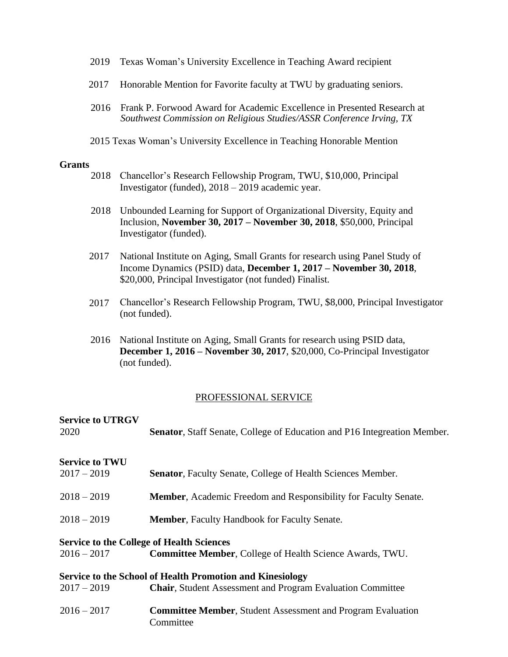- 2019 Texas Woman's University Excellence in Teaching Award recipient
- 2017 Honorable Mention for Favorite faculty at TWU by graduating seniors.
- 2016 Frank P. Forwood Award for Academic Excellence in Presented Research at *Southwest Commission on Religious Studies/ASSR Conference Irving, TX*
- 2015 Texas Woman's University Excellence in Teaching Honorable Mention

#### **Grants**

- 2018 Chancellor's Research Fellowship Program, TWU, \$10,000, Principal Investigator (funded), 2018 – 2019 academic year.
- 2018 Unbounded Learning for Support of Organizational Diversity, Equity and Inclusion, **November 30, 2017 – November 30, 2018**, \$50,000, Principal Investigator (funded).
- 2017 National Institute on Aging, Small Grants for research using Panel Study of Income Dynamics (PSID) data, **December 1, 2017 – November 30, 2018**, \$20,000, Principal Investigator (not funded) Finalist.
- 2017 Chancellor's Research Fellowship Program, TWU, \$8,000, Principal Investigator (not funded).
- 2016 National Institute on Aging, Small Grants for research using PSID data, **December 1, 2016 – November 30, 2017**, \$20,000, Co-Principal Investigator (not funded).

#### PROFESSIONAL SERVICE

| <b>Service to UTRGV</b><br>2020 | <b>Senator, Staff Senate, College of Education and P16 Integreation Member.</b> |
|---------------------------------|---------------------------------------------------------------------------------|
|                                 |                                                                                 |
| <b>Service to TWU</b>           |                                                                                 |
| $2017 - 2019$                   | <b>Senator, Faculty Senate, College of Health Sciences Member.</b>              |
| $2018 - 2019$                   | Member, Academic Freedom and Responsibility for Faculty Senate.                 |
| $2018 - 2019$                   | <b>Member, Faculty Handbook for Faculty Senate.</b>                             |
|                                 | <b>Service to the College of Health Sciences</b>                                |
| $2016 - 2017$                   | <b>Committee Member, College of Health Science Awards, TWU.</b>                 |
|                                 | <b>Service to the School of Health Promotion and Kinesiology</b>                |
| $2017 - 2019$                   | <b>Chair, Student Assessment and Program Evaluation Committee</b>               |
| $2016 - 2017$                   | <b>Committee Member, Student Assessment and Program Evaluation</b><br>Committee |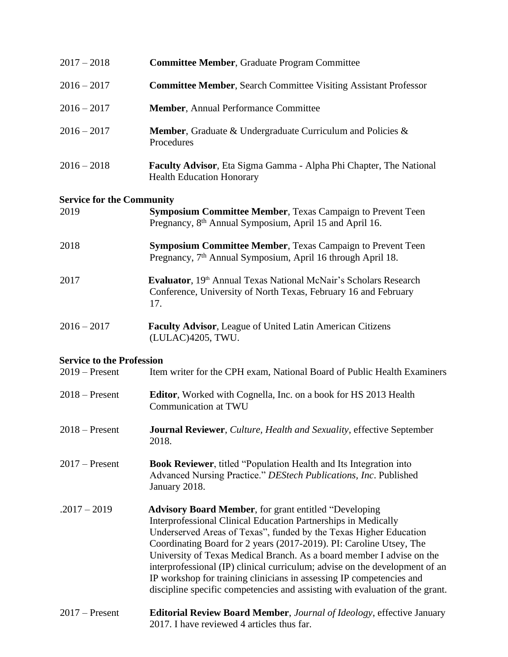| $2017 - 2018$                    | <b>Committee Member, Graduate Program Committee</b>                                                                                                                                                                                                                                                                                                                                                                                                                                                                                                                                               |
|----------------------------------|---------------------------------------------------------------------------------------------------------------------------------------------------------------------------------------------------------------------------------------------------------------------------------------------------------------------------------------------------------------------------------------------------------------------------------------------------------------------------------------------------------------------------------------------------------------------------------------------------|
| $2016 - 2017$                    | <b>Committee Member, Search Committee Visiting Assistant Professor</b>                                                                                                                                                                                                                                                                                                                                                                                                                                                                                                                            |
| $2016 - 2017$                    | <b>Member, Annual Performance Committee</b>                                                                                                                                                                                                                                                                                                                                                                                                                                                                                                                                                       |
| $2016 - 2017$                    | <b>Member, Graduate &amp; Undergraduate Curriculum and Policies &amp;</b><br>Procedures                                                                                                                                                                                                                                                                                                                                                                                                                                                                                                           |
| $2016 - 2018$                    | Faculty Advisor, Eta Sigma Gamma - Alpha Phi Chapter, The National<br><b>Health Education Honorary</b>                                                                                                                                                                                                                                                                                                                                                                                                                                                                                            |
| <b>Service for the Community</b> |                                                                                                                                                                                                                                                                                                                                                                                                                                                                                                                                                                                                   |
| 2019                             | <b>Symposium Committee Member, Texas Campaign to Prevent Teen</b><br>Pregnancy, 8 <sup>th</sup> Annual Symposium, April 15 and April 16.                                                                                                                                                                                                                                                                                                                                                                                                                                                          |
| 2018                             | <b>Symposium Committee Member, Texas Campaign to Prevent Teen</b><br>Pregnancy, 7 <sup>th</sup> Annual Symposium, April 16 through April 18.                                                                                                                                                                                                                                                                                                                                                                                                                                                      |
| 2017                             | Evaluator, 19 <sup>th</sup> Annual Texas National McNair's Scholars Research<br>Conference, University of North Texas, February 16 and February<br>17.                                                                                                                                                                                                                                                                                                                                                                                                                                            |
| $2016 - 2017$                    | <b>Faculty Advisor, League of United Latin American Citizens</b><br>(LULAC)4205, TWU.                                                                                                                                                                                                                                                                                                                                                                                                                                                                                                             |
| <b>Service to the Profession</b> |                                                                                                                                                                                                                                                                                                                                                                                                                                                                                                                                                                                                   |
| $2019$ – Present                 | Item writer for the CPH exam, National Board of Public Health Examiners                                                                                                                                                                                                                                                                                                                                                                                                                                                                                                                           |
| $2018 -$ Present                 | <b>Editor</b> , Worked with Cognella, Inc. on a book for HS 2013 Health<br>Communication at TWU                                                                                                                                                                                                                                                                                                                                                                                                                                                                                                   |
| $2018 -$ Present                 | Journal Reviewer, Culture, Health and Sexuality, effective September<br>2018.                                                                                                                                                                                                                                                                                                                                                                                                                                                                                                                     |
| $2017$ – Present                 | <b>Book Reviewer</b> , titled "Population Health and Its Integration into<br>Advanced Nursing Practice." DEStech Publications, Inc. Published<br>January 2018.                                                                                                                                                                                                                                                                                                                                                                                                                                    |
| $.2017 - 2019$                   | <b>Advisory Board Member, for grant entitled "Developing</b><br><b>Interprofessional Clinical Education Partnerships in Medically</b><br>Underserved Areas of Texas", funded by the Texas Higher Education<br>Coordinating Board for 2 years (2017-2019). PI: Caroline Utsey, The<br>University of Texas Medical Branch. As a board member I advise on the<br>interprofessional (IP) clinical curriculum; advise on the development of an<br>IP workshop for training clinicians in assessing IP competencies and<br>discipline specific competencies and assisting with evaluation of the grant. |
| $2017$ – Present                 | <b>Editorial Review Board Member</b> , Journal of Ideology, effective January<br>2017. I have reviewed 4 articles thus far.                                                                                                                                                                                                                                                                                                                                                                                                                                                                       |